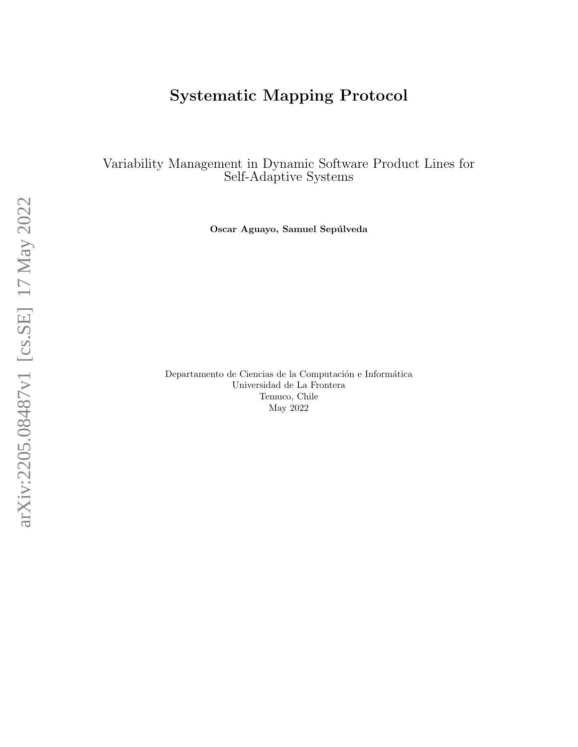# Systematic Mapping Protocol

Variability Management in Dynamic Software Product Lines for Self-Adaptive Systems

Oscar Aguayo, Samuel Sepúlveda

Departamento de Ciencias de la Computación e Informática Universidad de La Frontera Temuco, Chile May 2022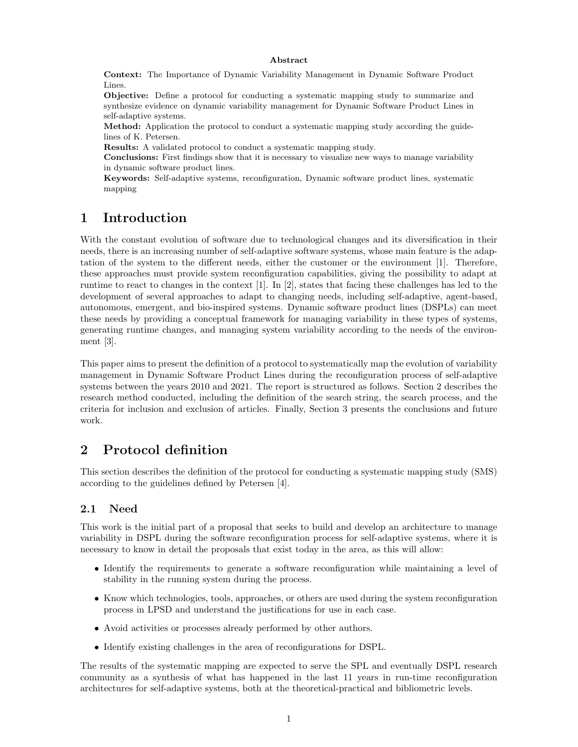#### Abstract

Context: The Importance of Dynamic Variability Management in Dynamic Software Product Lines.

Objective: Define a protocol for conducting a systematic mapping study to summarize and synthesize evidence on dynamic variability management for Dynamic Software Product Lines in self-adaptive systems.

Method: Application the protocol to conduct a systematic mapping study according the guidelines of K. Petersen.

Results: A validated protocol to conduct a systematic mapping study.

Conclusions: First findings show that it is necessary to visualize new ways to manage variability in dynamic software product lines.

Keywords: Self-adaptive systems, reconfiguration, Dynamic software product lines, systematic mapping

### 1 Introduction

With the constant evolution of software due to technological changes and its diversification in their needs, there is an increasing number of self-adaptive software systems, whose main feature is the adaptation of the system to the different needs, either the customer or the environment [\[1\]](#page-7-0). Therefore, these approaches must provide system reconfiguration capabilities, giving the possibility to adapt at runtime to react to changes in the context [\[1\]](#page-7-0). In [\[2\]](#page-8-0), states that facing these challenges has led to the development of several approaches to adapt to changing needs, including self-adaptive, agent-based, autonomous, emergent, and bio-inspired systems. Dynamic software product lines (DSPLs) can meet these needs by providing a conceptual framework for managing variability in these types of systems, generating runtime changes, and managing system variability according to the needs of the environment [\[3\]](#page-8-1).

This paper aims to present the definition of a protocol to systematically map the evolution of variability management in Dynamic Software Product Lines during the reconfiguration process of self-adaptive systems between the years 2010 and 2021. The report is structured as follows. Section 2 describes the research method conducted, including the definition of the search string, the search process, and the criteria for inclusion and exclusion of articles. Finally, Section 3 presents the conclusions and future work.

# 2 Protocol definition

This section describes the definition of the protocol for conducting a systematic mapping study (SMS) according to the guidelines defined by Petersen [\[4\]](#page-8-2).

#### 2.1 Need

This work is the initial part of a proposal that seeks to build and develop an architecture to manage variability in DSPL during the software reconfiguration process for self-adaptive systems, where it is necessary to know in detail the proposals that exist today in the area, as this will allow:

- Identify the requirements to generate a software reconfiguration while maintaining a level of stability in the running system during the process.
- Know which technologies, tools, approaches, or others are used during the system reconfiguration process in LPSD and understand the justifications for use in each case.
- Avoid activities or processes already performed by other authors.
- Identify existing challenges in the area of reconfigurations for DSPL.

The results of the systematic mapping are expected to serve the SPL and eventually DSPL research community as a synthesis of what has happened in the last 11 years in run-time reconfiguration architectures for self-adaptive systems, both at the theoretical-practical and bibliometric levels.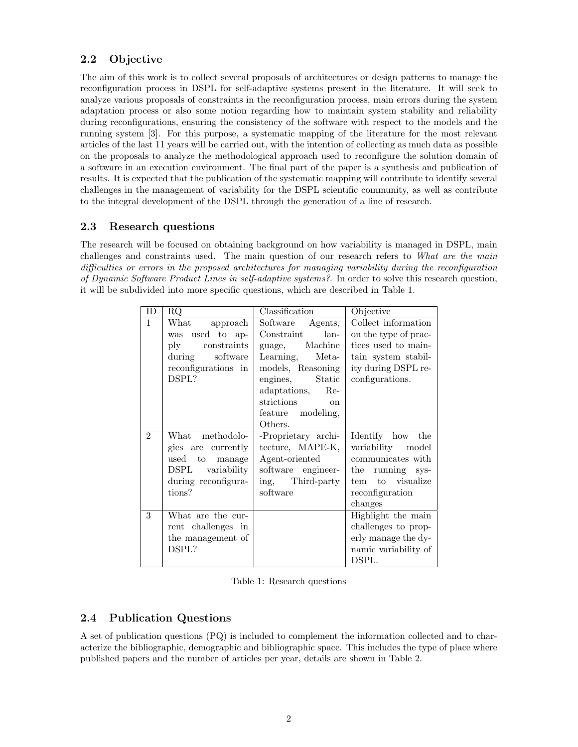### 2.2 Objective

The aim of this work is to collect several proposals of architectures or design patterns to manage the reconfiguration process in DSPL for self-adaptive systems present in the literature. It will seek to analyze various proposals of constraints in the reconfiguration process, main errors during the system adaptation process or also some notion regarding how to maintain system stability and reliability during reconfigurations, ensuring the consistency of the software with respect to the models and the running system [\[3\]](#page-8-1). For this purpose, a systematic mapping of the literature for the most relevant articles of the last 11 years will be carried out, with the intention of collecting as much data as possible on the proposals to analyze the methodological approach used to reconfigure the solution domain of a software in an execution environment. The final part of the paper is a synthesis and publication of results. It is expected that the publication of the systematic mapping will contribute to identify several challenges in the management of variability for the DSPL scientific community, as well as contribute to the integral development of the DSPL through the generation of a line of research.

### 2.3 Research questions

The research will be focused on obtaining background on how variability is managed in DSPL, main challenges and constraints used. The main question of our research refers to What are the main difficulties or errors in the proposed architectures for managing variability during the reconfiguration of Dynamic Software Product Lines in self-adaptive systems?. In order to solve this research question, it will be subdivided into more specific questions, which are described in Table 1.

| ID             | RQ                             | Classification        | Objective            |
|----------------|--------------------------------|-----------------------|----------------------|
| $\mathbf{1}$   | What<br>approach               | Software Agents,      | Collect information  |
|                | was used to ap-                | lan-<br>Constraint    | on the type of prac- |
|                | constraints<br>$\mathbf{p}$ by | Machine<br>guage,     | tices used to main-  |
|                | software<br>during             | Meta-<br>Learning,    | tain system stabil-  |
|                | reconfigurations in            | models, Reasoning     | ity during DSPL re-  |
|                | DSPL?                          | Static<br>engines,    | configurations.      |
|                |                                | adaptations,<br>$Re-$ |                      |
|                |                                | strictions on         |                      |
|                |                                | feature modeling,     |                      |
|                |                                | Others.               |                      |
| $\mathfrak{D}$ | What methodolo-                | -Proprietary archi-   | Identify how<br>the  |
|                | gies are currently             | tecture, MAPE-K,      | variability model    |
|                | used<br>to<br>manage           | Agent-oriented        | communicates with    |
|                | DSPL variability               | software engineer-    | the running sys-     |
|                | during reconfigura-            | ing, Third-party      | tem to visualize     |
|                | tions?                         | software              | reconfiguration      |
|                |                                |                       | changes              |
| 3              | What are the cur-              |                       | Highlight the main   |
|                | rent challenges in             |                       | challenges to prop-  |
|                | the management of              |                       | erly manage the dy-  |
|                | DSPL?                          |                       | namic variability of |
|                |                                |                       | DSPL.                |

Table 1: Research questions

### 2.4 Publication Questions

A set of publication questions (PQ) is included to complement the information collected and to characterize the bibliographic, demographic and bibliographic space. This includes the type of place where published papers and the number of articles per year, details are shown in Table 2.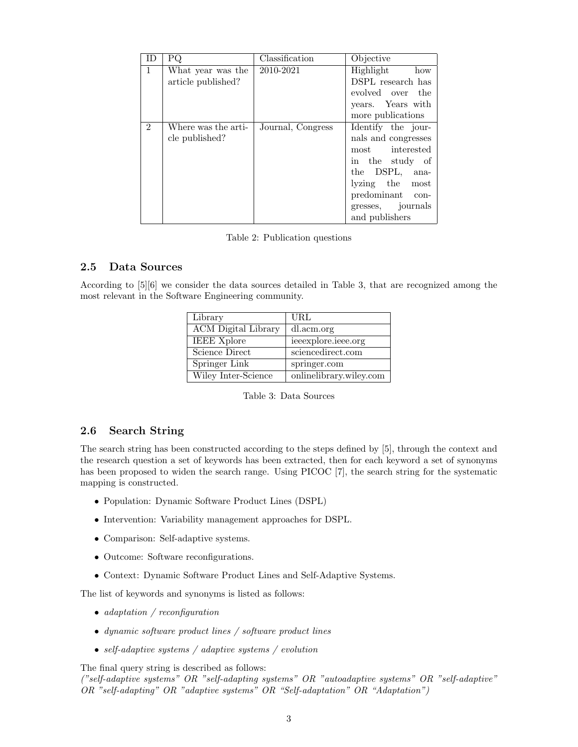| ΙD             | PQ                  | Classification    | Objective           |
|----------------|---------------------|-------------------|---------------------|
| $\mathbf{1}$   | What year was the   | 2010-2021         | Highlight<br>how    |
|                | article published?  |                   | DSPL research has   |
|                |                     |                   | evolved over the    |
|                |                     |                   | years. Years with   |
|                |                     |                   | more publications   |
| $\overline{2}$ | Where was the arti- | Journal, Congress | Identify the jour-  |
|                | cle published?      |                   | nals and congresses |
|                |                     |                   | most interested     |
|                |                     |                   | in the study of     |
|                |                     |                   | the DSPL, ana-      |
|                |                     |                   | lyzing the most     |
|                |                     |                   | predominant con-    |
|                |                     |                   | gresses, journals   |
|                |                     |                   | and publishers      |

Table 2: Publication questions

#### 2.5 Data Sources

According to [\[5\]](#page-8-3)[\[6\]](#page-8-4) we consider the data sources detailed in Table 3, that are recognized among the most relevant in the Software Engineering community.

| Library                    | URL                     |
|----------------------------|-------------------------|
| <b>ACM</b> Digital Library | dl.acm.org              |
| <b>IEEE Xplore</b>         | ieeexplore.ieee.org     |
| Science Direct             | sciencedirect.com       |
| Springer Link              | springer.com            |
| Wiley Inter-Science        | onlinelibrary.wiley.com |

Table 3: Data Sources

#### 2.6 Search String

The search string has been constructed according to the steps defined by [\[5\]](#page-8-3), through the context and the research question a set of keywords has been extracted, then for each keyword a set of synonyms has been proposed to widen the search range. Using PICOC [\[7\]](#page-8-5), the search string for the systematic mapping is constructed.

- Population: Dynamic Software Product Lines (DSPL)
- Intervention: Variability management approaches for DSPL.
- Comparison: Self-adaptive systems.
- Outcome: Software reconfigurations.
- Context: Dynamic Software Product Lines and Self-Adaptive Systems.

The list of keywords and synonyms is listed as follows:

- adaptation / reconfiguration
- dynamic software product lines / software product lines
- self-adaptive systems / adaptive systems / evolution

The final query string is described as follows:

("self-adaptive systems" OR "self-adapting systems" OR "autoadaptive systems" OR "self-adaptive" OR "self-adapting" OR "adaptive systems" OR "Self-adaptation" OR "Adaptation")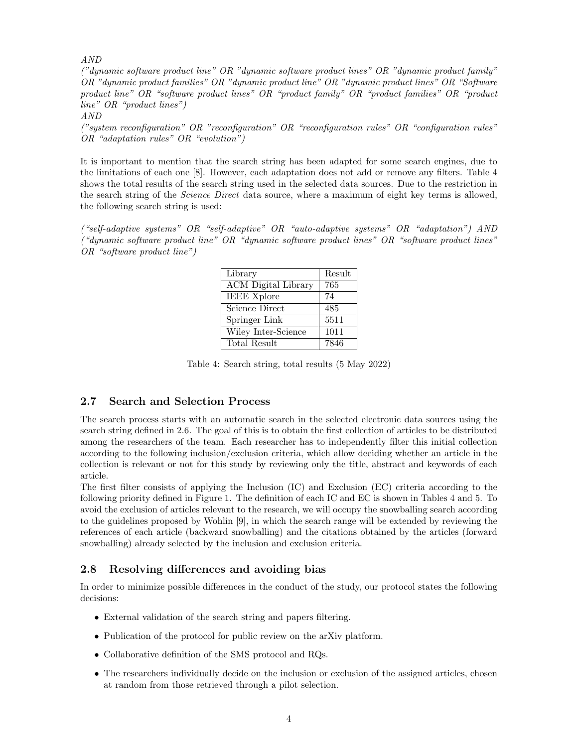AND

("dynamic software product line" OR "dynamic software product lines" OR "dynamic product family" OR "dynamic product families" OR "dynamic product line" OR "dynamic product lines" OR "Software product line" OR "software product lines" OR "product family" OR "product families" OR "product line" OR "product lines")

AND

("system reconfiguration" OR "reconfiguration" OR "reconfiguration rules" OR "configuration rules" OR "adaptation rules" OR "evolution")

It is important to mention that the search string has been adapted for some search engines, due to the limitations of each one [\[8\]](#page-8-6). However, each adaptation does not add or remove any filters. Table 4 shows the total results of the search string used in the selected data sources. Due to the restriction in the search string of the *Science Direct* data source, where a maximum of eight key terms is allowed, the following search string is used:

("self-adaptive systems" OR "self-adaptive" OR "auto-adaptive systems" OR "adaptation") AND ("dynamic software product line" OR "dynamic software product lines" OR "software product lines" OR "software product line")

| Library                    | Result |
|----------------------------|--------|
| <b>ACM</b> Digital Library | 765    |
| <b>IEEE Xplore</b>         | 74     |
| Science Direct             | 485    |
| Springer Link              | 5511   |
| Wiley Inter-Science        | 1011   |
| Total Result               | 7846   |

Table 4: Search string, total results (5 May 2022)

#### 2.7 Search and Selection Process

The search process starts with an automatic search in the selected electronic data sources using the search string defined in 2.6. The goal of this is to obtain the first collection of articles to be distributed among the researchers of the team. Each researcher has to independently filter this initial collection according to the following inclusion/exclusion criteria, which allow deciding whether an article in the collection is relevant or not for this study by reviewing only the title, abstract and keywords of each article.

The first filter consists of applying the Inclusion (IC) and Exclusion (EC) criteria according to the following priority defined in Figure [1.](#page-6-0) The definition of each IC and EC is shown in Tables 4 and 5. To avoid the exclusion of articles relevant to the research, we will occupy the snowballing search according to the guidelines proposed by Wohlin [\[9\]](#page-8-7), in which the search range will be extended by reviewing the references of each article (backward snowballing) and the citations obtained by the articles (forward snowballing) already selected by the inclusion and exclusion criteria.

#### 2.8 Resolving differences and avoiding bias

In order to minimize possible differences in the conduct of the study, our protocol states the following decisions:

- External validation of the search string and papers filtering.
- Publication of the protocol for public review on the arXiv platform.
- Collaborative definition of the SMS protocol and RQs.
- The researchers individually decide on the inclusion or exclusion of the assigned articles, chosen at random from those retrieved through a pilot selection.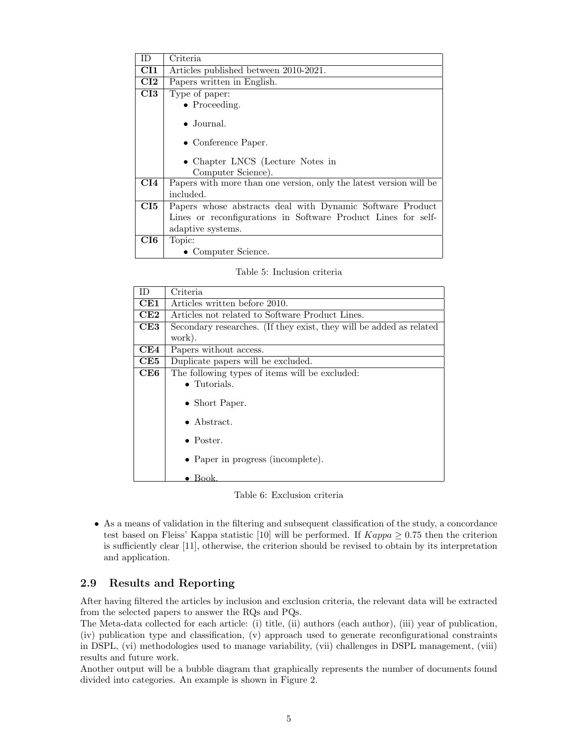| ΙD                         | Criteria                                                           |  |
|----------------------------|--------------------------------------------------------------------|--|
| $\rm CII$                  | Articles published between 2010-2021.                              |  |
| $\overline{\textbf{C}}$ I2 | Papers written in English.                                         |  |
| $\overline{\textbf{C}}$ I3 | Type of paper:                                                     |  |
|                            | $\bullet$ Proceeding.                                              |  |
|                            | $\bullet$ Journal.<br>• Conference Paper.                          |  |
|                            | • Chapter LNCS (Lecture Notes in<br>Computer Science).             |  |
| $\mathbf{C} \mathbf{I} 4$  | Papers with more than one version, only the latest version will be |  |
|                            | included.                                                          |  |
| $\mathbf{C}$ $\mathbf{I}$  | Papers whose abstracts deal with Dynamic Software Product          |  |
|                            | Lines or reconfigurations in Software Product Lines for self-      |  |
|                            | adaptive systems.                                                  |  |
| CI6                        | Topic:                                                             |  |
|                            | • Computer Science.                                                |  |

Table 5: Inclusion criteria

| ID. | Criteria                                                            |  |
|-----|---------------------------------------------------------------------|--|
| CE1 | Articles written before 2010.                                       |  |
| CE2 | Articles not related to Software Product Lines.                     |  |
| CE3 | Secondary researches. (If they exist, they will be added as related |  |
|     | work).                                                              |  |
| CE4 | Papers without access.                                              |  |
| CE5 | Duplicate papers will be excluded.                                  |  |
| CE6 | The following types of items will be excluded:                      |  |
|     | $\bullet$ Tutorials.                                                |  |
|     | • Short Paper.                                                      |  |
|     | $\bullet$ Abstract.                                                 |  |
|     | $\bullet$ Poster.                                                   |  |
|     | • Paper in progress (incomplete).                                   |  |
|     | $\bullet$ Book.                                                     |  |

Table 6: Exclusion criteria

• As a means of validation in the filtering and subsequent classification of the study, a concordance test based on Fleiss' Kappa statistic [\[10\]](#page-8-8) will be performed. If  $Kappa \ge 0.75$  then the criterion is sufficiently clear [\[11\]](#page-8-9), otherwise, the criterion should be revised to obtain by its interpretation and application.

### 2.9 Results and Reporting

After having filtered the articles by inclusion and exclusion criteria, the relevant data will be extracted from the selected papers to answer the RQs and PQs.

The Meta-data collected for each article: (i) title, (ii) authors (each author), (iii) year of publication, (iv) publication type and classification, (v) approach used to generate reconfigurational constraints in DSPL, (vi) methodologies used to manage variability, (vii) challenges in DSPL management, (viii) results and future work.

Another output will be a bubble diagram that graphically represents the number of documents found divided into categories. An example is shown in Figure [2.](#page-7-1)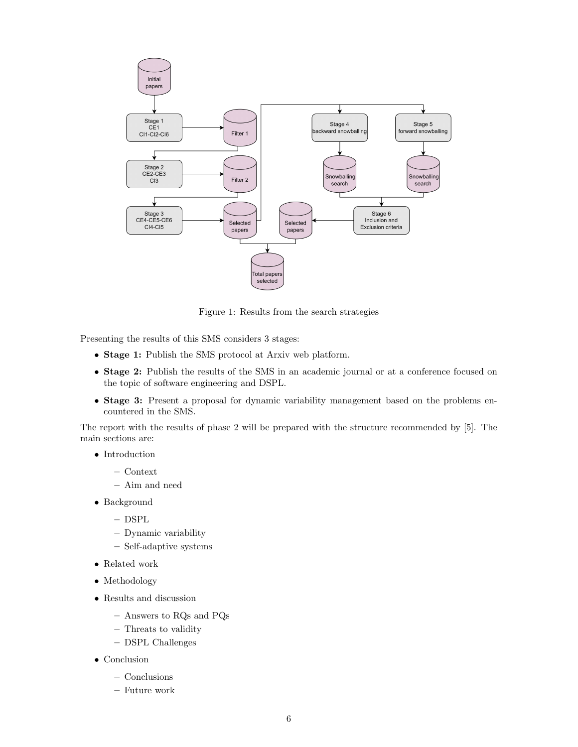

<span id="page-6-0"></span>Figure 1: Results from the search strategies

Presenting the results of this SMS considers 3 stages:

- Stage 1: Publish the SMS protocol at Arxiv web platform.
- Stage 2: Publish the results of the SMS in an academic journal or at a conference focused on the topic of software engineering and DSPL.
- Stage 3: Present a proposal for dynamic variability management based on the problems encountered in the SMS.

The report with the results of phase 2 will be prepared with the structure recommended by [\[5\]](#page-8-3). The main sections are:

- Introduction
	- Context
	- Aim and need
- Background
	- DSPL
	- Dynamic variability
	- Self-adaptive systems
- Related work
- Methodology
- Results and discussion
	- Answers to RQs and PQs
	- Threats to validity
	- DSPL Challenges
- Conclusion
	- Conclusions
	- Future work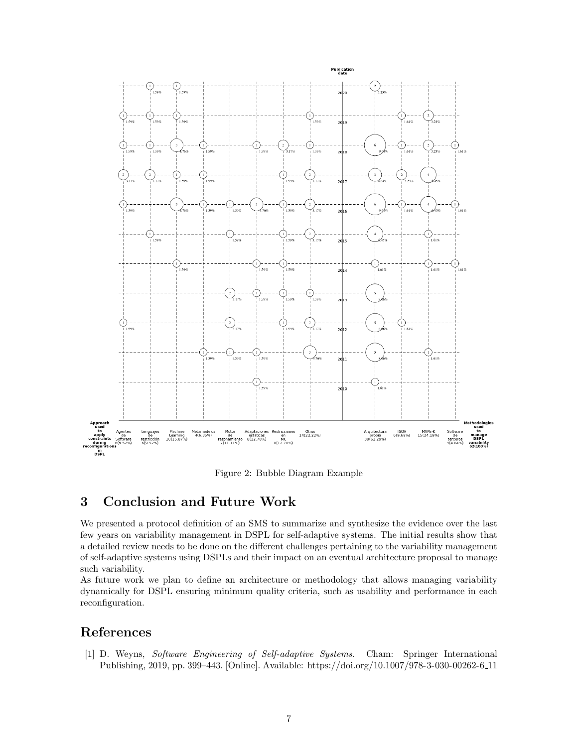

<span id="page-7-1"></span>Figure 2: Bubble Diagram Example

# 3 Conclusion and Future Work

We presented a protocol definition of an SMS to summarize and synthesize the evidence over the last few years on variability management in DSPL for self-adaptive systems. The initial results show that a detailed review needs to be done on the different challenges pertaining to the variability management of self-adaptive systems using DSPLs and their impact on an eventual architecture proposal to manage such variability.

As future work we plan to define an architecture or methodology that allows managing variability dynamically for DSPL ensuring minimum quality criteria, such as usability and performance in each reconfiguration.

# References

<span id="page-7-0"></span>[1] D. Weyns, Software Engineering of Self-adaptive Systems. Cham: Springer International Publishing, 2019, pp. 399–443. [Online]. Available: [https://doi.org/10.1007/978-3-030-00262-6](https://doi.org/10.1007/978-3-030-00262-6_11) 11